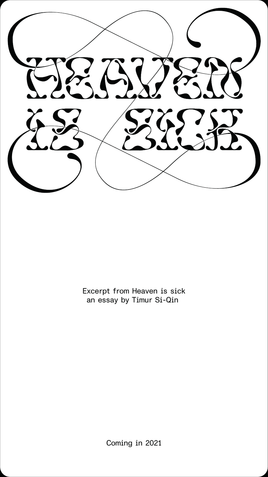

Excerpt from Heaven is sick an essay by Timur Si-Qin

Coming in 2021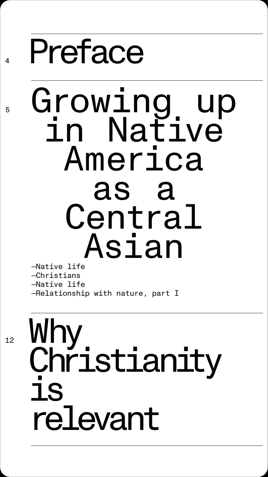

—Native life —Christians —Native life —Relationship with nature, part I

## Preface

### Growing up in Native America as a Central Asian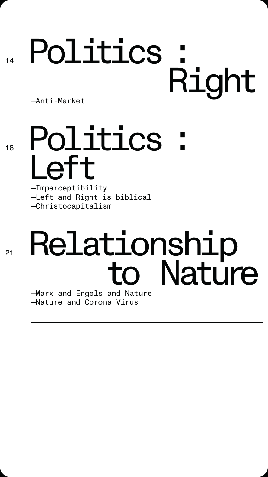## 14 Politics : Right —Anti-Market

# 18 Politics : Left<br>—Imperceptibility

—Left and Right is biblical —Christocapitalism

# 21 **Relationship**<br> **CO** Nature

—Nature and Corona Virus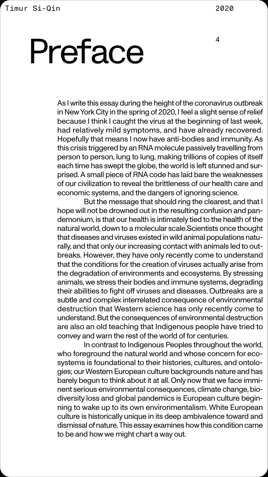As I write this essay during the height of the coronavirus outbreak in New York City in the spring of 2020, I feel a slight sense of relief because I think I caught the virus at the beginning of last week, had relatively mild symptoms, and have already recovered. Hopefully that means I now have anti-bodies and immunity. As this crisis triggered by an RNA molecule passively travelling from person to person, lung to lung, making trillions of copies of itself each time has swept the globe, the world is left stunned and surprised. A small piece of RNA code has laid bare the weaknesses of our civilization to reveal the brittleness of our health care and economic systems, and the dangers of ignoring science.

But the message that should ring the clearest, and that I hope will not be drowned out in the resulting confusion and pandemonium, is that our health is intimately tied to the health of the natural world, down to a molecular scale.Scientists once thought that diseases and viruses existed in wild animal populations naturally, and that only our increasing contact with animals led to outbreaks. However, they have only recently come to understand that the conditions for the creation of viruses actually arise from the degradation of environments and ecosystems. By stressing animals, we stress their bodies and immune systems, degrading their abilities to fight off viruses and diseases. Outbreaks are a subtle and complex interrelated consequence of environmental destruction that Western science has only recently come to understand. But the consequences of environmental destruction are also an old teaching that Indigenous people have tried to convey and warn the rest of the world of for centuries. In contrast to Indigenous Peoples throughout the world, who foreground the natural world and whose concern for ecosystems is foundational to their histories, cultures, and ontologies; our Western European culture backgrounds nature and has barely begun to think about it at all. Only now that we face imminent serious environmental consequences, climate change, biodiversity loss and global pandemics is European culture beginning to wake up to its own environmentalism. White European culture is historically unique in its deep ambivalence toward and dismissal of nature. This essay examines how this condition came to be and how we might chart a way out.

# Preface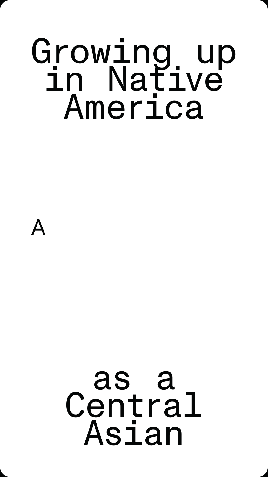### Growing up in Native America

### Λ

### as a Central Asian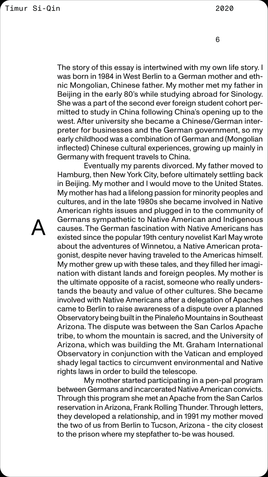The story of this essay is intertwined with my own life story. I was born in 1984 in West Berlin to a German mother and ethnic Mongolian, Chinese father. My mother met my father in Beijing in the early 80's while studying abroad for Sinology. She was a part of the second ever foreign student cohort permitted to study in China following China's opening up to the west. After university she became a Chinese/German interpreter for businesses and the German government, so my early childhood was a combination of German and (Mongolian inflected) Chinese cultural experiences, growing up mainly in Germany with frequent travels to China.

Eventually my parents divorced. My father moved to Hamburg, then New York City, before ultimately settling back in Beijing. My mother and I would move to the United States. My mother has had a lifelong passion for minority peoples and cultures, and in the late 1980s she became involved in Native American rights issues and plugged in to the community of Germans sympathetic to Native American and Indigenous

Λ

causes. The German fascination with Native Americans has existed since the popular 19th century novelist Karl May wrote about the adventures of Winnetou, a Native American protagonist, despite never having traveled to the Americas himself. My mother grew up with these tales, and they filled her imagination with distant lands and foreign peoples. My mother is the ultimate opposite of a racist, someone who really understands the beauty and value of other cultures. She became involved with Native Americans after a delegation of Apaches came to Berlin to raise awareness of a dispute over a planned Observatory being built in the Pinaleño Mountains in Southeast Arizona. The dispute was between the San Carlos Apache tribe, to whom the mountain is sacred, and the University of Arizona, which was building the Mt. Graham International Observatory in conjunction with the Vatican and employed shady legal tactics to circumvent environmental and Native rights laws in order to build the telescope.

My mother started participating in a pen-pal program between Germans and incarcerated Native American convicts. Through this program she met an Apache from the San Carlos reservation in Arizona, Frank Rolling Thunder. Through letters, they developed a relationship, and in 1991 my mother moved the two of us from Berlin to Tucson, Arizona - the city closest to the prison where my stepfather to-be was housed.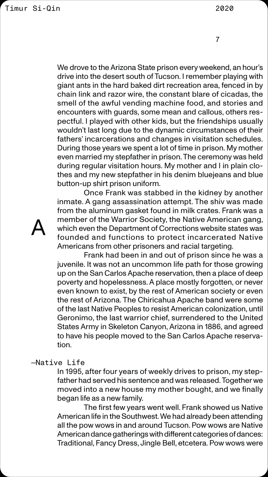We drove to the Arizona State prison every weekend, an hour's drive into the desert south of Tucson. I remember playing with giant ants in the hard baked dirt recreation area, fenced in by chain link and razor wire, the constant blare of cicadas, the smell of the awful vending machine food, and stories and encounters with guards, some mean and callous, others respectful. I played with other kids, but the friendships usually wouldn't last long due to the dynamic circumstances of their fathers' incarcerations and changes in visitation schedules. During those years we spent a lot of time in prison. My mother even married my stepfather in prison. The ceremony was held during regular visitation hours. My mother and I in plain clothes and my new stepfather in his denim bluejeans and blue button-up shirt prison uniform.

Once Frank was stabbed in the kidney by another inmate. A gang assassination attempt. The shiv was made from the aluminum gasket found in milk crates. Frank was a member of the Warrior Society, the Native American gang, which even the Department of Corrections website states was founded and functions to protect incarcerated Native Americans from other prisoners and racial targeting. Frank had been in and out of prison since he was a juvenile. It was not an uncommon life path for those growing up on the San Carlos Apache reservation, then a place of deep poverty and hopelessness. A place mostly forgotten, or never even known to exist, by the rest of American society or even the rest of Arizona. The Chiricahua Apache band were some of the last Native Peoples to resist American colonization, until Geronimo, the last warrior chief, surrendered to the United States Army in Skeleton Canyon, Arizona in 1886, and agreed to have his people moved to the San Carlos Apache reservation.

Λ

### —Native Life

In 1995, after four years of weekly drives to prison, my stepfather had served his sentence and was released. Together we moved into a new house my mother bought, and we finally began life as a new family.

The first few years went well. Frank showed us Native American life in the Southwest. We had already been attending all the pow wows in and around Tucson. Pow wows are Native American dance gatherings with different categories of dances: Traditional, Fancy Dress, Jingle Bell, etcetera. Pow wows were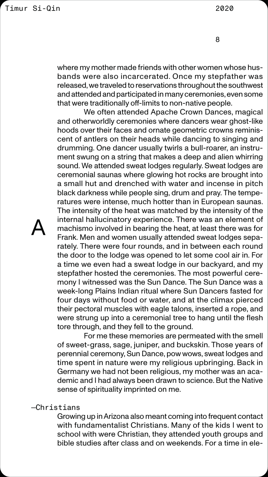where my mother made friends with other women whose husbands were also incarcerated. Once my stepfather was released, we traveled to reservations throughout the southwest and attended and participated in many ceremonies, even some that were traditionally off-limits to non-native people.

We often attended Apache Crown Dances, magical and otherworldly ceremonies where dancers wear ghost-like hoods over their faces and ornate geometric crowns reminiscent of antlers on their heads while dancing to singing and drumming. One dancer usually twirls a bull-roarer, an instrument swung on a string that makes a deep and alien whirring sound. We attended sweat lodges regularly. Sweat lodges are ceremonial saunas where glowing hot rocks are brought into a small hut and drenched with water and incense in pitch black darkness while people sing, drum and pray. The temperatures were intense, much hotter than in European saunas. The intensity of the heat was matched by the intensity of the internal hallucinatory experience. There was an element of machismo involved in bearing the heat, at least there was for Frank. Men and women usually attended sweat lodges separately. There were four rounds, and in between each round the door to the lodge was opened to let some cool air in. For a time we even had a sweat lodge in our backyard, and my stepfather hosted the ceremonies. The most powerful ceremony I witnessed was the Sun Dance. The Sun Dance was a week-long Plains Indian ritual where Sun Dancers fasted for four days without food or water, and at the climax pierced their pectoral muscles with eagle talons, inserted a rope, and were strung up into a ceremonial tree to hang until the flesh tore through, and they fell to the ground. For me these memories are permeated with the smell of sweet-grass, sage, juniper, and buckskin. Those years of perennial ceremony, Sun Dance, pow wows, sweat lodges and time spent in nature were my religious upbringing. Back in Germany we had not been religious, my mother was an academic and I had always been drawn to science. But the Native sense of spirituality imprinted on me.

Λ

### —Christians

Growing up in Arizona also meant coming into frequent contact with fundamentalist Christians. Many of the kids I went to school with were Christian, they attended youth groups and bible studies after class and on weekends. For a time in ele-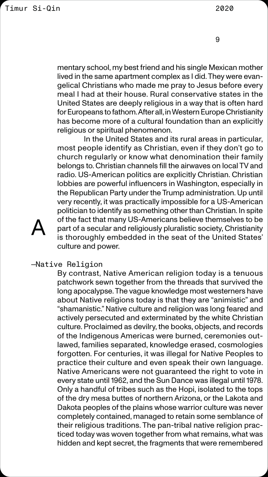mentary school, my best friend and his single Mexican mother lived in the same apartment complex as I did. They were evangelical Christians who made me pray to Jesus before every meal I had at their house. Rural conservative states in the United States are deeply religious in a way that is often hard for Europeans to fathom. After all, in Western Europe Christianity has become more of a cultural foundation than an explicitly religious or spiritual phenomenon.

In the United States and its rural areas in particular, most people identify as Christian, even if they don't go to church regularly or know what denomination their family belongs to. Christian channels fill the airwaves on local TV and radio. US-American politics are explicitly Christian. Christian lobbies are powerful influencers in Washington, especially in the Republican Party under the Trump administration. Up until very recently, it was practically impossible for a US-American politician to identify as something other than Christian. In spite of the fact that many US-Americans believe themselves to be Λ part of a secular and religiously pluralistic society, Christianity is thoroughly embedded in the seat of the United States' culture and power.

—Native Religion

By contrast, Native American religion today is a tenuous patchwork sewn together from the threads that survived the long apocalypse. The vague knowledge most westerners have about Native religions today is that they are "animistic" and "shamanistic." Native culture and religion was long feared and actively persecuted and exterminated by the white Christian culture. Proclaimed as devilry, the books, objects, and records of the Indigenous Americas were burned, ceremonies outlawed, families separated, knowledge erased, cosmologies forgotten. For centuries, it was illegal for Native Peoples to practice their culture and even speak their own language. Native Americans were not guaranteed the right to vote in every state until 1962, and the Sun Dance was illegal until 1978. Only a handful of tribes such as the Hopi, isolated to the tops of the dry mesa buttes of northern Arizona, or the Lakota and Dakota peoples of the plains whose warrior culture was never completely contained, managed to retain some semblance of their religious traditions. The pan-tribal native religion practiced today was woven together from what remains, what was hidden and kept secret, the fragments that were remembered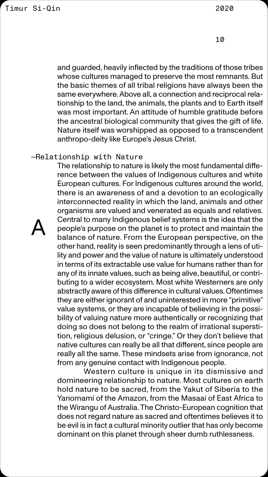and guarded, heavily inflected by the traditions of those tribes whose cultures managed to preserve the most remnants. But the basic themes of all tribal religions have always been the same everywhere. Above all, a connection and reciprocal relationship to the land, the animals, the plants and to Earth itself was most important. An attitude of humble gratitude before the ancestral biological community that gives the gift of life. Nature itself was worshipped as opposed to a transcendent anthropo-deity like Europe's Jesus Christ.

### —Relationship with Nature

The relationship to nature is likely the most fundamental difference between the values of Indigenous cultures and white European cultures. For Indigenous cultures around the world, there is an awareness of and a devotion to an ecologically interconnected reality in which the land, animals and other organisms are valued and venerated as equals and relatives. Central to many Indigenous belief systems is the idea that the people's purpose on the planet is to protect and maintain the balance of nature. From the European perspective, on the other hand, reality is seen predominantly through a lens of utility and power and the value of nature is ultimately understood in terms of its extractable use value for humans rather than for any of its innate values, such as being alive, beautiful, or contributing to a wider ecosystem. Most white Westerners are only abstractly aware of this difference in cultural values. Oftentimes they are either ignorant of and uninterested in more "primitive" value systems, or they are incapable of believing in the possibility of valuing nature more authentically or recognizing that doing so does not belong to the realm of irrational superstition, religious delusion, or "cringe." Or they don't believe that native cultures can really be all that different, since people are really all the same. These mindsets arise from ignorance, not from any genuine contact with Indigenous people. Western culture is unique in its dismissive and domineering relationship to nature. Most cultures on earth hold nature to be sacred, from the Yakut of Siberia to the Yanomami of the Amazon, from the Masaai of East Africa to the Wirangu of Australia. The Christo-European cognition that does not regard nature as sacred and oftentimes believes it to be evil is in fact a cultural minority outlier that has only become dominant on this planet through sheer dumb ruthlessness.

Λ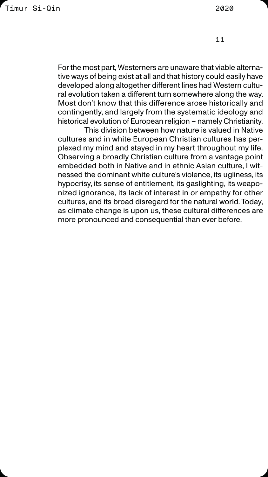For the most part, Westerners are unaware that viable alternative ways of being exist at all and that history could easily have developed along altogether different lines had Western cultural evolution taken a different turn somewhere along the way. Most don't know that this difference arose historically and contingently, and largely from the systematic ideology and historical evolution of European religion – namely Christianity.

This division between how nature is valued in Native cultures and in white European Christian cultures has perplexed my mind and stayed in my heart throughout my life. Observing a broadly Christian culture from a vantage point embedded both in Native and in ethnic Asian culture, I witnessed the dominant white culture's violence, its ugliness, its hypocrisy, its sense of entitlement, its gaslighting, its weaponized ignorance, its lack of interest in or empathy for other cultures, and its broad disregard for the natural world. Today, as climate change is upon us, these cultural differences are more pronounced and consequential than ever before.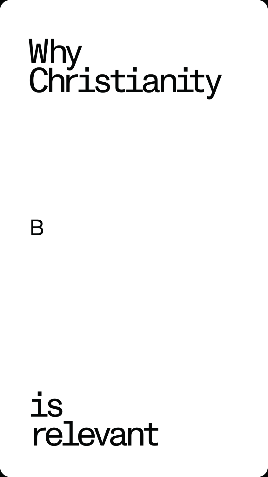### Why Christianity

### is<br>19 relevant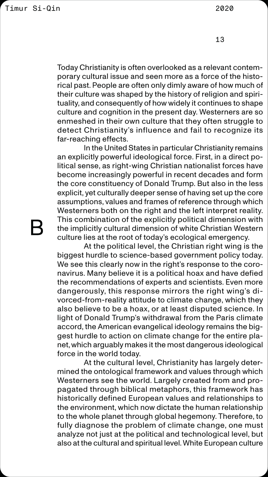Today Christianity is often overlooked as a relevant contemporary cultural issue and seen more as a force of the historical past. People are often only dimly aware of how much of their culture was shaped by the history of religion and spirituality, and consequently of how widely it continues to shape culture and cognition in the present day. Westerners are so enmeshed in their own culture that they often struggle to detect Christianity's influence and fail to recognize its far-reaching effects.

In the United States in particular Christianity remains an explicitly powerful ideological force. First, in a direct political sense, as right-wing Christian nationalist forces have become increasingly powerful in recent decades and form the core constituency of Donald Trump. But also in the less explicit, yet culturally deeper sense of having set up the core assumptions, values and frames of reference through which Westerners both on the right and the left interpret reality. This combination of the explicitly political dimension with the implicitly cultural dimension of white Christian Western culture lies at the root of today's ecological emergency. At the political level, the Christian right wing is the biggest hurdle to science-based government policy today. We see this clearly now in the right's response to the coronavirus. Many believe it is a political hoax and have defied the recommendations of experts and scientists. Even more dangerously, this response mirrors the right wing's divorced-from-reality attitude to climate change, which they also believe to be a hoax, or at least disputed science. In light of Donald Trump's withdrawal from the Paris climate accord, the American evangelical ideology remains the biggest hurdle to action on climate change for the entire planet, which arguably makes it the most dangerous ideological force in the world today. At the cultural level, Christianity has largely determined the ontological framework and values through which Westerners see the world. Largely created from and propagated through biblical metaphors, this framework has historically defined European values and relationships to the environment, which now dictate the human relationship to the whole planet through global hegemony. Therefore, to fully diagnose the problem of climate change, one must analyze not just at the political and technological level, but also at the cultural and spiritual level. White European culture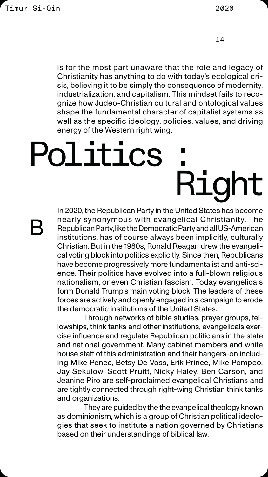In 2020, the Republican Party in the United States has become nearly synonymous with evangelical Christianity. The Republican Party, like the Democratic Party and all US-American institutions, has of course always been implicitly, culturally Christian. But in the 1980s, Ronald Reagan drew the evangelical voting block into politics explicitly. Since then, Republicans have become progressively more fundamentalist and anti-science. Their politics have evolved into a full-blown religious nationalism, or even Christian fascism. Today evangelicals form Donald Trump's main voting block. The leaders of these forces are actively and openly engaged in a campaign to erode the democratic institutions of the United States. Through networks of bible studies, prayer groups, fellowships, think tanks and other institutions, evangelicals exercise influence and regulate Republican politicians in the state and national government. Many cabinet members and white house staff of this administration and their hangers-on including Mike Pence, Betsy De Voss, Erik Prince, Mike Pompeo, Jay Sekulow, Scott Pruitt, Nicky Haley, Ben Carson, and Jeanine Piro are self-proclaimed evangelical Christians and are tightly connected through right-wing Christian think tanks and organizations. They are guided by the the evangelical theology known as dominionism, which is a group of Christian political ideologies that seek to institute a nation governed by Christians based on their understandings of biblical law.

is for the most part unaware that the role and legacy of Christianity has anything to do with today's ecological crisis, believing it to be simply the consequence of modernity, industrialization, and capitalism. This mindset fails to recognize how Judeo-Christian cultural and ontological values shape the fundamental character of capitalist systems as well as the specific ideology, policies, values, and driving energy of the Western right wing.

### Politics : Right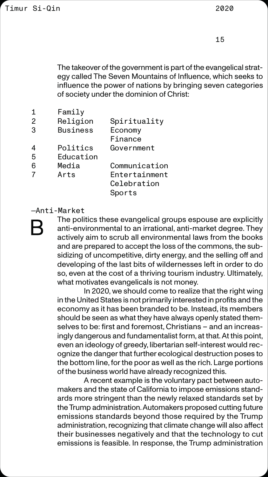The takeover of the government is part of the evangelical strategy called The Seven Mountains of Influence, which seeks to influence the power of nations by bringing seven categories of society under the dominion of Christ:

1 Family 2 Religion Spirituality 3 Business Economy Finance 4 Politics Government 5 Education 6 Media Communication 7 Arts Entertainment Celebration Sports

—Anti-Market



The politics these evangelical groups espouse are explicitly anti-environmental to an irrational, anti-market degree. They actively aim to scrub all environmental laws from the books and are prepared to accept the loss of the commons, the subsidizing of uncompetitive, dirty energy, and the selling off and developing of the last bits of wildernesses left in order to do so, even at the cost of a thriving tourism industry. Ultimately, what motivates evangelicals is not money. In 2020, we should come to realize that the right wing in the United States is not primarily interested in profits and the economy as it has been branded to be. Instead, its members should be seen as what they have always openly stated themselves to be: first and foremost, Christians – and an increasingly dangerous and fundamentalist form, at that. At this point, even an ideology of greedy, libertarian self-interest would recognize the danger that further ecological destruction poses to the bottom line, for the poor as well as the rich. Large portions of the business world have already recognized this. A recent example is the voluntary pact between automakers and the state of California to impose emissions standards more stringent than the newly relaxed standards set by the Trump administration. Automakers proposed cutting future emissions standards beyond those required by the Trump administration, recognizing that climate change will also affect their businesses negatively and that the technology to cut emissions is feasible. In response, the Trump administration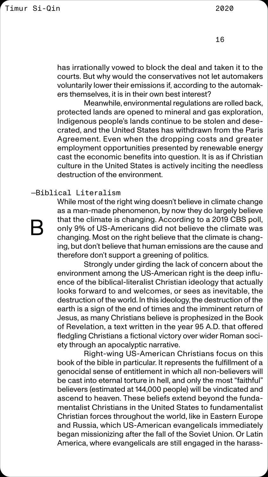has irrationally vowed to block the deal and taken it to the courts. But why would the conservatives not let automakers voluntarily lower their emissions if, according to the automakers themselves, it is in their own best interest?

Meanwhile, environmental regulations are rolled back, protected lands are opened to mineral and gas exploration, Indigenous people's lands continue to be stolen and desecrated, and the United States has withdrawn from the Paris Agreement. Even when the dropping costs and greater employment opportunities presented by renewable energy cast the economic benefits into question. It is as if Christian culture in the United States is actively inciting the needless destruction of the environment.

### —Biblical Literalism

While most of the right wing doesn't believe in climate change as a man-made phenomenon, by now they do largely believe that the climate is changing. According to a 2019 CBS poll, only 9% of US-Americans did not believe the climate was changing. Most on the right believe that the climate is changing, but don't believe that human emissions are the cause and therefore don't support a greening of politics. Strongly under girding the lack of concern about the environment among the US-American right is the deep influence of the biblical-literalist Christian ideology that actually looks forward to and welcomes, or sees as inevitable, the destruction of the world. In this ideology, the destruction of the earth is a sign of the end of times and the imminent return of Jesus, as many Christians believe is prophesized in the Book of Revelation, a text written in the year 95 A.D. that offered fledgling Christians a fictional victory over wider Roman society through an apocalyptic narrative. Right-wing US-American Christians focus on this book of the bible in particular. It represents the fulfillment of a genocidal sense of entitlement in which all non-believers will be cast into eternal torture in hell, and only the most "faithful" believers (estimated at 144,000 people) will be vindicated and ascend to heaven. These beliefs extend beyond the fundamentalist Christians in the United States to fundamentalist Christian forces throughout the world, like in Eastern Europe and Russia, which US-American evangelicals immediately began missionizing after the fall of the Soviet Union. Or Latin America, where evangelicals are still engaged in the harass-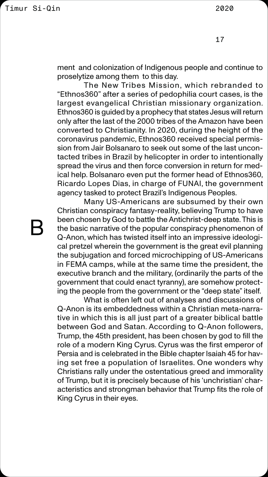ment and colonization of Indigenous people and continue to proselytize among them to this day.

The New Tribes Mission, which rebranded to "Ethnos360" after a series of pedophilia court cases, is the largest evangelical Christian missionary organization. Ethnos360 is guided by a prophecy that states Jesus will return only after the last of the 2000 tribes of the Amazon have been converted to Christianity. In 2020, during the height of the coronavirus pandemic, Ethnos360 received special permission from Jair Bolsanaro to seek out some of the last uncontacted tribes in Brazil by helicopter in order to intentionally spread the virus and then force conversion in return for medical help. Bolsanaro even put the former head of Ethnos360, Ricardo Lopes Dias, in charge of FUNAI, the government agency tasked to protect Brazil's Indigenous Peoples.

Many US-Americans are subsumed by their own Christian conspiracy fantasy-reality, believing Trump to have been chosen by God to battle the Antichrist-deep state. This is the basic narrative of the popular conspiracy phenomenon of Q-Anon, which has twisted itself into an impressive ideological pretzel wherein the government is the great evil planning the subjugation and forced microchipping of US-Americans in FEMA camps, while at the same time the president, the executive branch and the military, (ordinarily the parts of the government that could enact tyranny), are somehow protecting the people from the government or the "deep state" itself. What is often left out of analyses and discussions of Q-Anon is its embeddedness within a Christian meta-narrative in which this is all just part of a greater biblical battle between God and Satan. According to Q-Anon followers, Trump, the 45th president, has been chosen by god to fill the role of a modern King Cyrus. Cyrus was the first emperor of Persia and is celebrated in the Bible chapter Isaiah 45 for having set free a population of Israelites. One wonders why Christians rally under the ostentatious greed and immorality of Trump, but it is precisely because of his 'unchristian' characteristics and strongman behavior that Trump fits the role of King Cyrus in their eyes.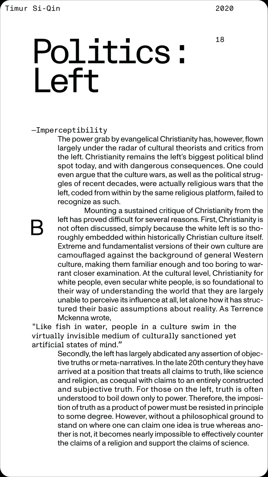18

—Imperceptibility

The power grab by evangelical Christianity has, however, flown largely under the radar of cultural theorists and critics from the left. Christianity remains the left's biggest political blind spot today, and with dangerous consequences. One could even argue that the culture wars, as well as the political struggles of recent decades, were actually religious wars that the left, coded from within by the same religious platform, failed to recognize as such.

Mounting a sustained critique of Christianity from the left has proved difficult for several reasons. First, Christianity is not often discussed, simply because the white left is so thoroughly embedded within historically Christian culture itself. Extreme and fundamentalist versions of their own culture are camouflaged against the background of general Western culture, making them familiar enough and too boring to warrant closer examination. At the cultural level, Christianity for white people, even secular white people, is so foundational to their way of understanding the world that they are largely unable to perceive its influence at all, let alone how it has structured their basic assumptions about reality. As Terrence Mckenna wrote, "Like fish in water, people in a culture swim in the virtually invisible medium of culturally sanctioned yet artificial states of mind." Secondly, the left has largely abdicated any assertion of objective truths or meta-narratives. In the late 20th century they have arrived at a position that treats all claims to truth, like science and religion, as coequal with claims to an entirely constructed and subjective truth. For those on the left, truth is often understood to boil down only to power. Therefore, the imposition of truth as a product of power must be resisted in principle to some degree. However, without a philosophical ground to stand on where one can claim one idea is true whereas another is not, it becomes nearly impossible to effectively counter the claims of a religion and support the claims of science.

### Politics : Left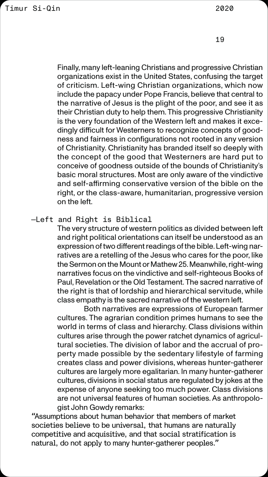Finally, many left-leaning Christians and progressive Christian organizations exist in the United States, confusing the target of criticism. Left-wing Christian organizations, which now include the papacy under Pope Francis, believe that central to the narrative of Jesus is the plight of the poor, and see it as their Christian duty to help them. This progressive Christianity is the very foundation of the Western left and makes it excedingly difficult for Westerners to recognize concepts of goodness and fairness in configurations not rooted in any version of Christianity. Christianity has branded itself so deeply with the concept of the good that Westerners are hard put to conceive of goodness outside of the bounds of Christianity's basic moral structures. Most are only aware of the vindictive and self-affirming conservative version of the bible on the right, or the class-aware, humanitarian, progressive version on the left.

—Left and Right is Biblical

The very structure of western politics as divided between left and right political orientations can itself be understood as an expression of two different readings of the bible. Left-wing narratives are a retelling of the Jesus who cares for the poor, like the Sermon on the Mount or Mathew 25. Meanwhile, right-wing narratives focus on the vindictive and self-righteous Books of Paul, Revelation or the Old Testament. The sacred narrative of the right is that of lordship and hierarchical servitude, while class empathy is the sacred narrative of the western left.

Both narratives are expressions of European farmer cultures. The agrarian condition primes humans to see the world in terms of class and hierarchy. Class divisions within cultures arise through the power ratchet dynamics of agricultural societies. The division of labor and the accrual of property made possible by the sedentary lifestyle of farming creates class and power divisions, whereas hunter-gatherer cultures are largely more egalitarian. In many hunter-gatherer cultures, divisions in social status are regulated by jokes at the expense of anyone seeking too much power. Class divisions are not universal features of human societies. As anthropologist John Gowdy remarks:

"Assumptions about human behavior that members of market societies believe to be universal, that humans are naturally competitive and acquisitive, and that social stratification is natural, do not apply to many hunter-gatherer peoples."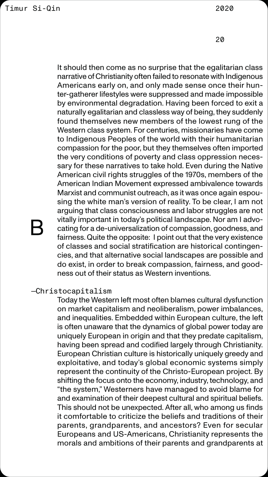It should then come as no surprise that the egalitarian class narrative of Christianity often failed to resonate with Indigenous Americans early on, and only made sense once their hunter-gatherer lifestyles were suppressed and made impossible by environmental degradation. Having been forced to exit a naturally egalitarian and classless way of being, they suddenly found themselves new members of the lowest rung of the Western class system. For centuries, missionaries have come to Indigenous Peoples of the world with their humanitarian compassion for the poor, but they themselves often imported the very conditions of poverty and class oppression necessary for these narratives to take hold. Even during the Native American civil rights struggles of the 1970s, members of the American Indian Movement expressed ambivalence towards Marxist and communist outreach, as it was once again espousing the white man's version of reality. To be clear, I am not arguing that class consciousness and labor struggles are not vitally important in today's political landscape. Nor am I advocating for a de-universalization of compassion, goodness, and fairness. Quite the opposite: I point out that the very existence of classes and social stratification are historical contingencies, and that alternative social landscapes are possible and do exist, in order to break compassion, fairness, and goodness out of their status as Western inventions.

### —Christocapitalism

Today the Western left most often blames cultural dysfunction on market capitalism and neoliberalism, power imbalances, and inequalities. Embedded within European culture, the left is often unaware that the dynamics of global power today are uniquely European in origin and that they predate capitalism, having been spread and codified largely through Christianity. European Christian culture is historically uniquely greedy and exploitative, and today's global economic systems simply represent the continuity of the Christo-European project. By shifting the focus onto the economy, industry, technology, and "the system," Westerners have managed to avoid blame for and examination of their deepest cultural and spiritual beliefs. This should not be unexpected. After all, who among us finds it comfortable to criticize the beliefs and traditions of their parents, grandparents, and ancestors? Even for secular Europeans and US-Americans, Christianity represents the morals and ambitions of their parents and grandparents at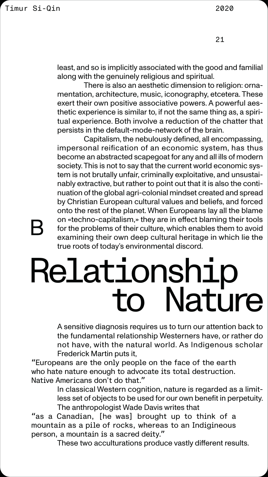A sensitive diagnosis requires us to turn our attention back to the fundamental relationship Westerners have, or rather do not have, with the natural world. As Indigenous scholar Frederick Martin puts it,

"Europeans are the only people on the face of the earth who hate nature enough to advocate its total destruction. Native Americans don't do that."

> In classical Western cognition, nature is regarded as a limitless set of objects to be used for our own benefit in perpetuity. The anthropologist Wade Davis writes that

"as a Canadian, [he was] brought up to think of a mountain as a pile of rocks, whereas to an Indigineous person, a mountain is a sacred deity."

These two acculturations produce vastly different results.

least, and so is implicitly associated with the good and familial along with the genuinely religious and spiritual.

There is also an aesthetic dimension to religion: ornamentation, architecture, music, iconography, etcetera. These exert their own positive associative powers. A powerful aesthetic experience is similar to, if not the same thing as, a spiritual experience. Both involve a reduction of the chatter that persists in the default-mode-network of the brain.

Capitalism, the nebulously defined, all encompassing, impersonal reification of an economic system, has thus become an abstracted scapegoat for any and all ills of modern society. This is not to say that the current world economic system is not brutally unfair, criminally exploitative, and unsustainably extractive, but rather to point out that it is also the continuation of the global agri-colonial mindset created and spread by Christian European cultural values and beliefs, and forced onto the rest of the planet. When Europeans lay all the blame on «techno-capitalism,» they are in effect blaming their tools for the problems of their culture, which enables them to avoid examining their own deep cultural heritage in which lie the true roots of today's environmental discord.

# Relationship<br>to Nature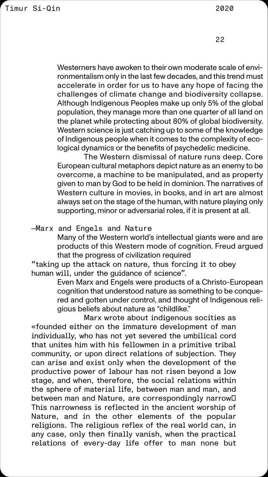Westerners have awoken to their own moderate scale of environmentalism only in the last few decades, and this trend must accelerate in order for us to have any hope of facing the challenges of climate change and biodiversity collapse. Although Indigenous Peoples make up only 5% of the global population, they manage more than one quarter of all land on the planet while protecting about 80% of global biodiversity. Western science is just catching up to some of the knowledge of Indigenous people when it comes to the complexity of ecological dynamics or the benefits of psychedelic medicine.

The Western dismissal of nature runs deep. Core European cultural metaphors depict nature as an enemy to be overcome, a machine to be manipulated, and as property given to man by God to be held in dominion. The narratives of Western culture in movies, in books, and in art are almost always set on the stage of the human, with nature playing only supporting, minor or adversarial roles, if it is present at all.

—Marx and Engels and Nature

Many of the Western world's intellectual giants were and are products of this Western mode of cognition. Freud argued that the progress of civilization required

"taking up the attack on nature, thus forcing it to obey human will, under the guidance of science".

> Even Marx and Engels were products of a Christo-European cognition that understood nature as something to be conquered and gotten under control, and thought of Indigenous religious beliefs about nature as "childlike."

Marx wrote about indigenous socities as «founded either on the immature development of man individually, who has not yet severed the umbilical cord that unites him with his fellowmen in a primitive tribal community, or upon direct relations of subjection. They can arise and exist only when the development of the productive power of labour has not risen beyond a low stage, and when, therefore, the social relations within the sphere of material life, between man and man, and between man and Nature, are correspondingly narrow… This narrowness is reflected in the ancient worship of Nature, and in the other elements of the popular religions. The religious reflex of the real world can, in any case, only then finally vanish, when the practical relations of every-day life offer to man none but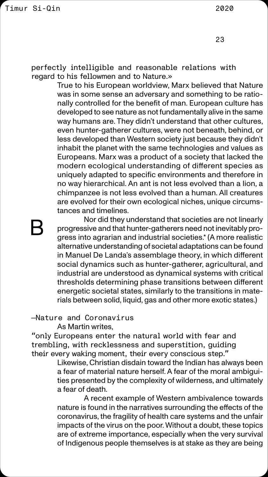perfectly intelligible and reasonable relations with regard to his fellowmen and to Nature.»

> True to his European worldview, Marx believed that Nature was in some sense an adversary and something to be rationally controlled for the benefit of man. European culture has developed to see nature as not fundamentally alive in the same way humans are. They didn't understand that other cultures, even hunter-gatherer cultures, were not beneath, behind, or less developed than Western society just because they didn't inhabit the planet with the same technologies and values as Europeans. Marx was a product of a society that lacked the modern ecological understanding of different species as uniquely adapted to specific environments and therefore in no way hierarchical. An ant is not less evolved than a lion, a chimpanzee is not less evolved than a human. All creatures are evolved for their own ecological niches, unique circumstances and timelines.

> > Nor did they understand that societies are not linearly

progressive and that hunter-gatherers need not inevitably progress into agrarian and industrial societies.\* (A more realistic alternative understanding of societal adaptations can be found in Manuel De Landa's assemblage theory, in which different social dynamics such as hunter-gatherer, agricultural, and industrial are understood as dynamical systems with critical thresholds determining phase transitions between different energetic societal states, similarly to the transitions in materials between solid, liquid, gas and other more exotic states.)

—Nature and Coronavirus

As Martin writes,

"only Europeans enter the natural world with fear and trembling, with recklessness and superstition, guiding their every waking moment, their every conscious step."

> Likewise, Christian disdain toward the Indian has always been a fear of material nature herself. A fear of the moral ambiguities presented by the complexity of wilderness, and ultimately a fear of death.

> A recent example of Western ambivalence towards nature is found in the narratives surrounding the effects of the coronavirus, the fragility of health care systems and the unfair impacts of the virus on the poor. Without a doubt, these topics are of extreme importance, especially when the very survival of Indigenous people themselves is at stake as they are being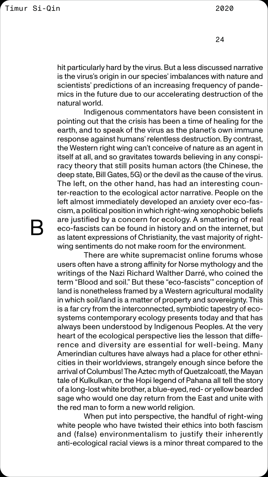hit particularly hard by the virus. But a less discussed narrative is the virus's origin in our species' imbalances with nature and scientists' predictions of an increasing frequency of pandemics in the future due to our accelerating destruction of the natural world.

Indigenous commentators have been consistent in pointing out that the crisis has been a time of healing for the earth, and to speak of the virus as the planet's own immune response against humans' relentless destruction. By contrast, the Western right wing can't conceive of nature as an agent in itself at all, and so gravitates towards believing in any conspiracy theory that still posits human actors (the Chinese, the deep state, Bill Gates, 5G) or the devil as the cause of the virus. The left, on the other hand, has had an interesting counter-reaction to the ecological actor narrative. People on the left almost immediately developed an anxiety over eco-fascism, a political position in which right-wing xenophobic beliefs are justified by a concern for ecology. A smattering of real eco-fascists can be found in history and on the internet, but as latent expressions of Christianity, the vast majority of rightwing sentiments do not make room for the environment. There are white supremacist online forums whose users often have a strong affinity for Norse mythology and the writings of the Nazi Richard Walther Darré, who coined the term "Blood and soil." But these "eco-fascists'" conception of land is nonetheless framed by a Western agricultural modality in which soil/land is a matter of property and sovereignty. This is a far cry from the interconnected, symbiotic tapestry of ecosystems contemporary ecology presents today and that has always been understood by Indigenous Peoples. At the very heart of the ecological perspective lies the lesson that difference and diversity are essential for well-being. Many Amerindian cultures have always had a place for other ethnicities in their worldviews, strangely enough since before the arrival of Columbus! The Aztec myth of Quetzalcoatl, the Mayan tale of Kulkulkan, or the Hopi legend of Pahana all tell the story of a long-lost white brother, a blue-eyed, red- or yellow bearded sage who would one day return from the East and unite with the red man to form a new world religion. When put into perspective, the handful of right-wing white people who have twisted their ethics into both fascism and (false) environmentalism to justify their inherently anti-ecological racial views is a minor threat compared to the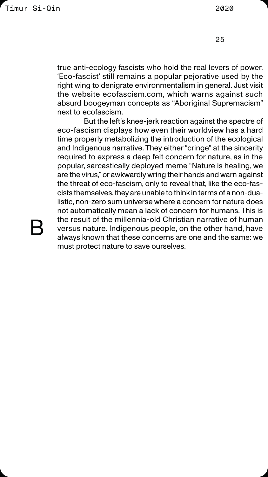true anti-ecology fascists who hold the real levers of power. 'Eco-fascist' still remains a popular pejorative used by the right wing to denigrate environmentalism in general. Just visit the website ecofascism.com, which warns against such absurd boogeyman concepts as "Aboriginal Supremacism" next to ecofascism.

But the left's knee-jerk reaction against the spectre of eco-fascism displays how even their worldview has a hard time properly metabolizing the introduction of the ecological and Indigenous narrative. They either "cringe" at the sincerity required to express a deep felt concern for nature, as in the popular, sarcastically deployed meme "Nature is healing, we are the virus," or awkwardly wring their hands and warn against the threat of eco-fascism, only to reveal that, like the eco-fascists themselves, they are unable to think in terms of a non-dualistic, non-zero sum universe where a concern for nature does not automatically mean a lack of concern for humans. This is the result of the millennia-old Christian narrative of human



versus nature. Indigenous people, on the other hand, have always known that these concerns are one and the same: we must protect nature to save ourselves.